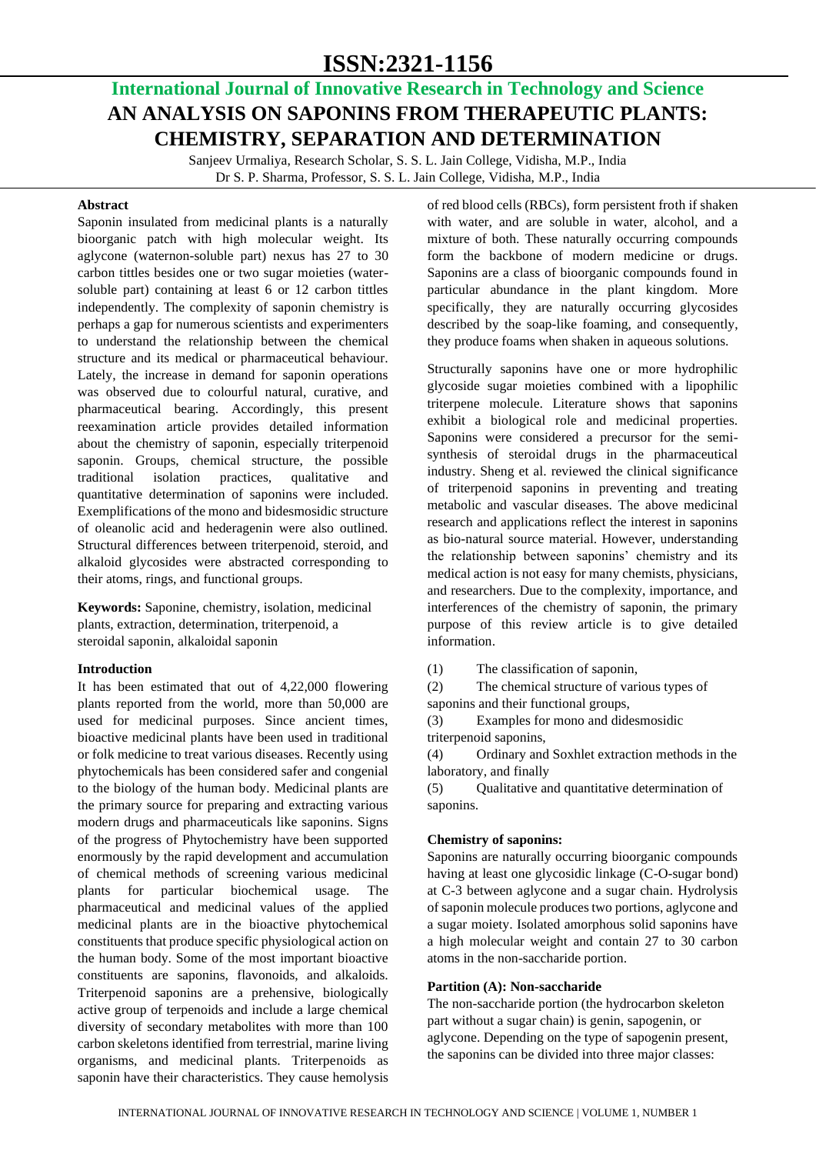# **ISSN:2321-1156**

## **International Journal of Innovative Research in Technology and Science AN ANALYSIS ON SAPONINS FROM THERAPEUTIC PLANTS: CHEMISTRY, SEPARATION AND DETERMINATION**

Sanjeev Urmaliya, Research Scholar, S. S. L. Jain College, Vidisha, M.P., India Dr S. P. Sharma, Professor, S. S. L. Jain College, Vidisha, M.P., India

#### **Abstract**

Saponin insulated from medicinal plants is a naturally bioorganic patch with high molecular weight. Its aglycone (waternon-soluble part) nexus has 27 to 30 carbon tittles besides one or two sugar moieties (watersoluble part) containing at least 6 or 12 carbon tittles independently. The complexity of saponin chemistry is perhaps a gap for numerous scientists and experimenters to understand the relationship between the chemical structure and its medical or pharmaceutical behaviour. Lately, the increase in demand for saponin operations was observed due to colourful natural, curative, and pharmaceutical bearing. Accordingly, this present reexamination article provides detailed information about the chemistry of saponin, especially triterpenoid saponin. Groups, chemical structure, the possible traditional isolation practices, qualitative and quantitative determination of saponins were included. Exemplifications of the mono and bidesmosidic structure of oleanolic acid and hederagenin were also outlined. Structural differences between triterpenoid, steroid, and alkaloid glycosides were abstracted corresponding to their atoms, rings, and functional groups.

**Keywords:** Saponine, chemistry, isolation, medicinal plants, extraction, determination, triterpenoid, a steroidal saponin, alkaloidal saponin

#### **Introduction**

It has been estimated that out of 4,22,000 flowering plants reported from the world, more than 50,000 are used for medicinal purposes. Since ancient times, bioactive medicinal plants have been used in traditional or folk medicine to treat various diseases. Recently using phytochemicals has been considered safer and congenial to the biology of the human body. Medicinal plants are the primary source for preparing and extracting various modern drugs and pharmaceuticals like saponins. Signs of the progress of Phytochemistry have been supported enormously by the rapid development and accumulation of chemical methods of screening various medicinal plants for particular biochemical usage. The pharmaceutical and medicinal values of the applied medicinal plants are in the bioactive phytochemical constituents that produce specific physiological action on the human body. Some of the most important bioactive constituents are saponins, flavonoids, and alkaloids. Triterpenoid saponins are a prehensive, biologically active group of terpenoids and include a large chemical diversity of secondary metabolites with more than 100 carbon skeletons identified from terrestrial, marine living organisms, and medicinal plants. Triterpenoids as saponin have their characteristics. They cause hemolysis of red blood cells (RBCs), form persistent froth if shaken with water, and are soluble in water, alcohol, and a mixture of both. These naturally occurring compounds form the backbone of modern medicine or drugs. Saponins are a class of bioorganic compounds found in particular abundance in the plant kingdom. More specifically, they are naturally occurring glycosides described by the soap-like foaming, and consequently, they produce foams when shaken in aqueous solutions.

Structurally saponins have one or more hydrophilic glycoside sugar moieties combined with a lipophilic triterpene molecule. Literature shows that saponins exhibit a biological role and medicinal properties. Saponins were considered a precursor for the semisynthesis of steroidal drugs in the pharmaceutical industry. Sheng et al. reviewed the clinical significance of triterpenoid saponins in preventing and treating metabolic and vascular diseases. The above medicinal research and applications reflect the interest in saponins as bio-natural source material. However, understanding the relationship between saponins' chemistry and its medical action is not easy for many chemists, physicians, and researchers. Due to the complexity, importance, and interferences of the chemistry of saponin, the primary purpose of this review article is to give detailed information.

(1) The classification of saponin,

(2) The chemical structure of various types of saponins and their functional groups,

(3) Examples for mono and didesmosidic

triterpenoid saponins,

(4) Ordinary and Soxhlet extraction methods in the laboratory, and finally

(5) Qualitative and quantitative determination of saponins.

#### **Chemistry of saponins:**

Saponins are naturally occurring bioorganic compounds having at least one glycosidic linkage (C-O-sugar bond) at C-3 between aglycone and a sugar chain. Hydrolysis of saponin molecule produces two portions, aglycone and a sugar moiety. Isolated amorphous solid saponins have a high molecular weight and contain 27 to 30 carbon atoms in the non-saccharide portion.

#### **Partition (A): Non-saccharide**

The non-saccharide portion (the hydrocarbon skeleton part without a sugar chain) is genin, sapogenin, or aglycone. Depending on the type of sapogenin present, the saponins can be divided into three major classes: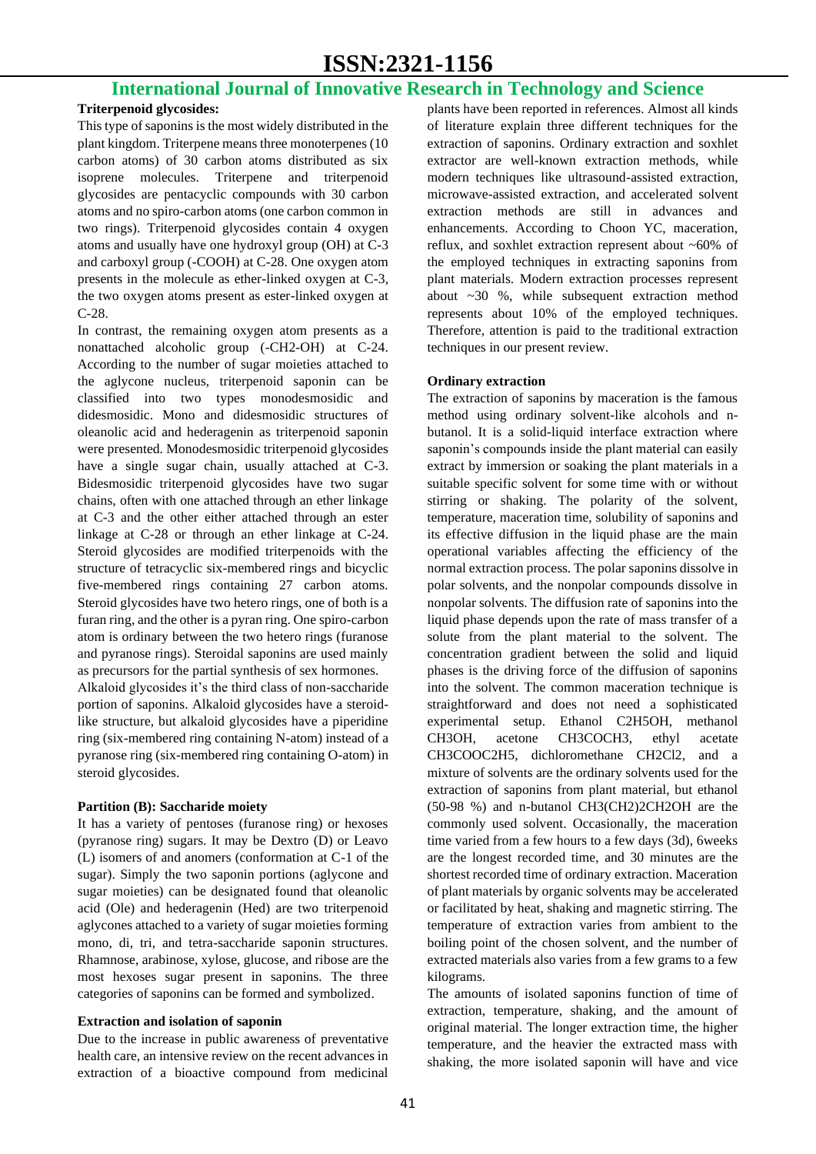### **International Journal of Innovative Research in Technology and Science**

#### **Triterpenoid glycosides:**

This type of saponins is the most widely distributed in the plant kingdom. Triterpene means three monoterpenes (10 carbon atoms) of 30 carbon atoms distributed as six isoprene molecules. Triterpene and triterpenoid glycosides are pentacyclic compounds with 30 carbon atoms and no spiro-carbon atoms (one carbon common in two rings). Triterpenoid glycosides contain 4 oxygen atoms and usually have one hydroxyl group (OH) at C-3 and carboxyl group (-COOH) at C-28. One oxygen atom presents in the molecule as ether-linked oxygen at C-3, the two oxygen atoms present as ester-linked oxygen at C-28.

In contrast, the remaining oxygen atom presents as a nonattached alcoholic group (-CH2-OH) at C-24. According to the number of sugar moieties attached to the aglycone nucleus, triterpenoid saponin can be classified into two types monodesmosidic and didesmosidic. Mono and didesmosidic structures of oleanolic acid and hederagenin as triterpenoid saponin were presented. Monodesmosidic triterpenoid glycosides have a single sugar chain, usually attached at C-3. Bidesmosidic triterpenoid glycosides have two sugar chains, often with one attached through an ether linkage at C-3 and the other either attached through an ester linkage at C-28 or through an ether linkage at C-24. Steroid glycosides are modified triterpenoids with the structure of tetracyclic six-membered rings and bicyclic five-membered rings containing 27 carbon atoms. Steroid glycosides have two hetero rings, one of both is a furan ring, and the other is a pyran ring. One spiro-carbon atom is ordinary between the two hetero rings (furanose and pyranose rings). Steroidal saponins are used mainly as precursors for the partial synthesis of sex hormones.

Alkaloid glycosides it's the third class of non-saccharide portion of saponins. Alkaloid glycosides have a steroidlike structure, but alkaloid glycosides have a piperidine ring (six-membered ring containing N-atom) instead of a pyranose ring (six-membered ring containing O-atom) in steroid glycosides.

#### **Partition (B): Saccharide moiety**

It has a variety of pentoses (furanose ring) or hexoses (pyranose ring) sugars. It may be Dextro (D) or Leavo (L) isomers of and anomers (conformation at C-1 of the sugar). Simply the two saponin portions (aglycone and sugar moieties) can be designated found that oleanolic acid (Ole) and hederagenin (Hed) are two triterpenoid aglycones attached to a variety of sugar moieties forming mono, di, tri, and tetra-saccharide saponin structures. Rhamnose, arabinose, xylose, glucose, and ribose are the most hexoses sugar present in saponins. The three categories of saponins can be formed and symbolized.

#### **Extraction and isolation of saponin**

Due to the increase in public awareness of preventative health care, an intensive review on the recent advances in extraction of a bioactive compound from medicinal plants have been reported in references. Almost all kinds of literature explain three different techniques for the extraction of saponins. Ordinary extraction and soxhlet extractor are well-known extraction methods, while modern techniques like ultrasound-assisted extraction, microwave-assisted extraction, and accelerated solvent extraction methods are still in advances and enhancements. According to Choon YC, maceration, reflux, and soxhlet extraction represent about ~60% of the employed techniques in extracting saponins from plant materials. Modern extraction processes represent about ~30 %, while subsequent extraction method represents about 10% of the employed techniques. Therefore, attention is paid to the traditional extraction techniques in our present review.

#### **Ordinary extraction**

The extraction of saponins by maceration is the famous method using ordinary solvent-like alcohols and nbutanol. It is a solid-liquid interface extraction where saponin's compounds inside the plant material can easily extract by immersion or soaking the plant materials in a suitable specific solvent for some time with or without stirring or shaking. The polarity of the solvent, temperature, maceration time, solubility of saponins and its effective diffusion in the liquid phase are the main operational variables affecting the efficiency of the normal extraction process. The polar saponins dissolve in polar solvents, and the nonpolar compounds dissolve in nonpolar solvents. The diffusion rate of saponins into the liquid phase depends upon the rate of mass transfer of a solute from the plant material to the solvent. The concentration gradient between the solid and liquid phases is the driving force of the diffusion of saponins into the solvent. The common maceration technique is straightforward and does not need a sophisticated experimental setup. Ethanol C2H5OH, methanol CH3OH, acetone CH3COCH3, ethyl acetate CH3COOC2H5, dichloromethane CH2Cl2, and a mixture of solvents are the ordinary solvents used for the extraction of saponins from plant material, but ethanol (50-98 %) and n-butanol CH3(CH2)2CH2OH are the commonly used solvent. Occasionally, the maceration time varied from a few hours to a few days (3d), 6weeks are the longest recorded time, and 30 minutes are the shortest recorded time of ordinary extraction. Maceration of plant materials by organic solvents may be accelerated or facilitated by heat, shaking and magnetic stirring. The temperature of extraction varies from ambient to the boiling point of the chosen solvent, and the number of extracted materials also varies from a few grams to a few kilograms.

The amounts of isolated saponins function of time of extraction, temperature, shaking, and the amount of original material. The longer extraction time, the higher temperature, and the heavier the extracted mass with shaking, the more isolated saponin will have and vice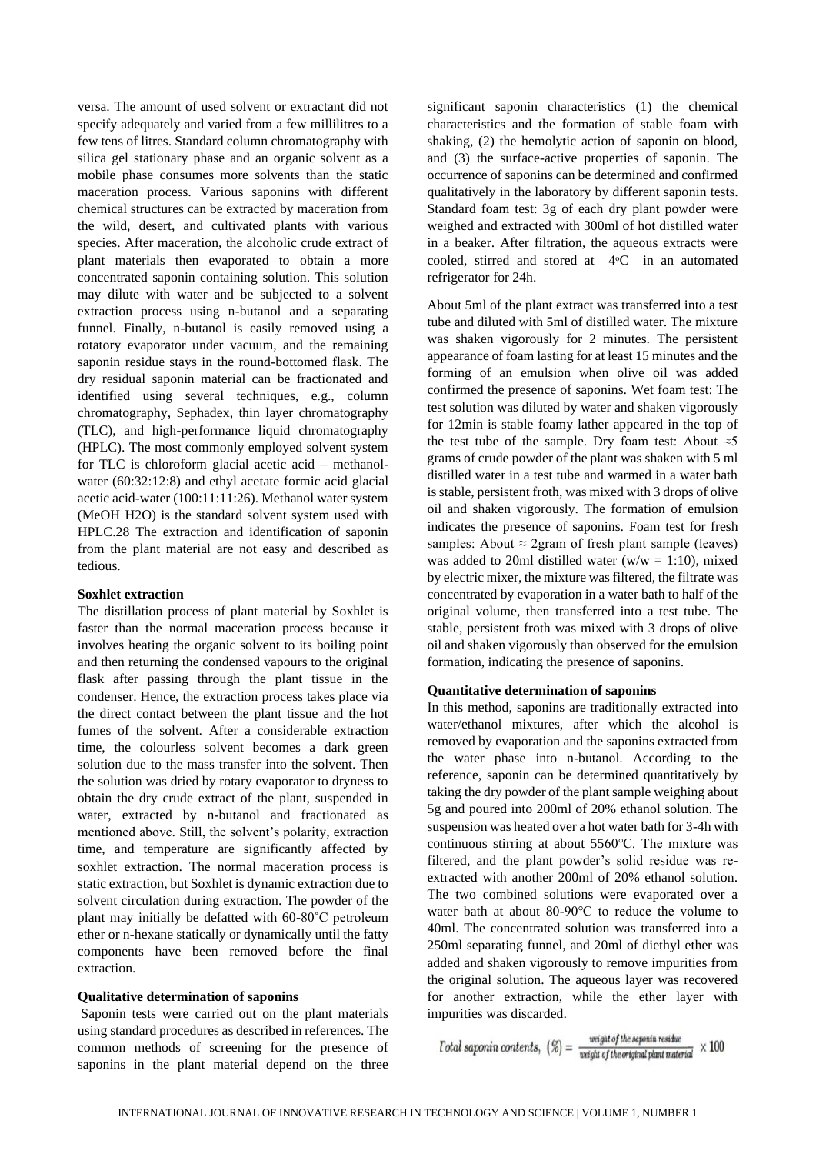versa. The amount of used solvent or extractant did not specify adequately and varied from a few millilitres to a few tens of litres. Standard column chromatography with silica gel stationary phase and an organic solvent as a mobile phase consumes more solvents than the static maceration process. Various saponins with different chemical structures can be extracted by maceration from the wild, desert, and cultivated plants with various species. After maceration, the alcoholic crude extract of plant materials then evaporated to obtain a more concentrated saponin containing solution. This solution may dilute with water and be subjected to a solvent extraction process using n-butanol and a separating funnel. Finally, n-butanol is easily removed using a rotatory evaporator under vacuum, and the remaining saponin residue stays in the round-bottomed flask. The dry residual saponin material can be fractionated and identified using several techniques, e.g., column chromatography, Sephadex, thin layer chromatography (TLC), and high-performance liquid chromatography (HPLC). The most commonly employed solvent system for TLC is chloroform glacial acetic acid – methanolwater (60:32:12:8) and ethyl acetate formic acid glacial acetic acid-water (100:11:11:26). Methanol water system (MeOH H2O) is the standard solvent system used with HPLC.28 The extraction and identification of saponin from the plant material are not easy and described as tedious.

#### **Soxhlet extraction**

The distillation process of plant material by Soxhlet is faster than the normal maceration process because it involves heating the organic solvent to its boiling point and then returning the condensed vapours to the original flask after passing through the plant tissue in the condenser. Hence, the extraction process takes place via the direct contact between the plant tissue and the hot fumes of the solvent. After a considerable extraction time, the colourless solvent becomes a dark green solution due to the mass transfer into the solvent. Then the solution was dried by rotary evaporator to dryness to obtain the dry crude extract of the plant, suspended in water, extracted by n-butanol and fractionated as mentioned above. Still, the solvent's polarity, extraction time, and temperature are significantly affected by soxhlet extraction. The normal maceration process is static extraction, but Soxhlet is dynamic extraction due to solvent circulation during extraction. The powder of the plant may initially be defatted with 60-80˚C petroleum ether or n-hexane statically or dynamically until the fatty components have been removed before the final extraction.

#### **Qualitative determination of saponins**

Saponin tests were carried out on the plant materials using standard procedures as described in references. The common methods of screening for the presence of saponins in the plant material depend on the three

significant saponin characteristics (1) the chemical characteristics and the formation of stable foam with shaking, (2) the hemolytic action of saponin on blood, and (3) the surface-active properties of saponin. The occurrence of saponins can be determined and confirmed qualitatively in the laboratory by different saponin tests. Standard foam test: 3g of each dry plant powder were weighed and extracted with 300ml of hot distilled water in a beaker. After filtration, the aqueous extracts were cooled, stirred and stored at 4°C in an automated refrigerator for 24h.

About 5ml of the plant extract was transferred into a test tube and diluted with 5ml of distilled water. The mixture was shaken vigorously for 2 minutes. The persistent appearance of foam lasting for at least 15 minutes and the forming of an emulsion when olive oil was added confirmed the presence of saponins. Wet foam test: The test solution was diluted by water and shaken vigorously for 12min is stable foamy lather appeared in the top of the test tube of the sample. Dry foam test: About  $\approx$ 5 grams of crude powder of the plant was shaken with 5 ml distilled water in a test tube and warmed in a water bath is stable, persistent froth, was mixed with 3 drops of olive oil and shaken vigorously. The formation of emulsion indicates the presence of saponins. Foam test for fresh samples: About  $\approx$  2gram of fresh plant sample (leaves) was added to 20ml distilled water ( $w/w = 1:10$ ), mixed by electric mixer, the mixture was filtered, the filtrate was concentrated by evaporation in a water bath to half of the original volume, then transferred into a test tube. The stable, persistent froth was mixed with 3 drops of olive oil and shaken vigorously than observed for the emulsion formation, indicating the presence of saponins.

#### **Quantitative determination of saponins**

In this method, saponins are traditionally extracted into water/ethanol mixtures, after which the alcohol is removed by evaporation and the saponins extracted from the water phase into n-butanol. According to the reference, saponin can be determined quantitatively by taking the dry powder of the plant sample weighing about 5g and poured into 200ml of 20% ethanol solution. The suspension was heated over a hot water bath for 3-4h with continuous stirring at about 5560℃. The mixture was filtered, and the plant powder's solid residue was reextracted with another 200ml of 20% ethanol solution. The two combined solutions were evaporated over a water bath at about 80-90℃ to reduce the volume to 40ml. The concentrated solution was transferred into a 250ml separating funnel, and 20ml of diethyl ether was added and shaken vigorously to remove impurities from the original solution. The aqueous layer was recovered for another extraction, while the ether layer with impurities was discarded.

 $Total\;saponin\;contents,\; \left(\frac{\%}{6}\right)=\frac{weight\;of\;the\;saponin\;residue}{weight\;of\;the\;original\;plant\;material}\;\times 100$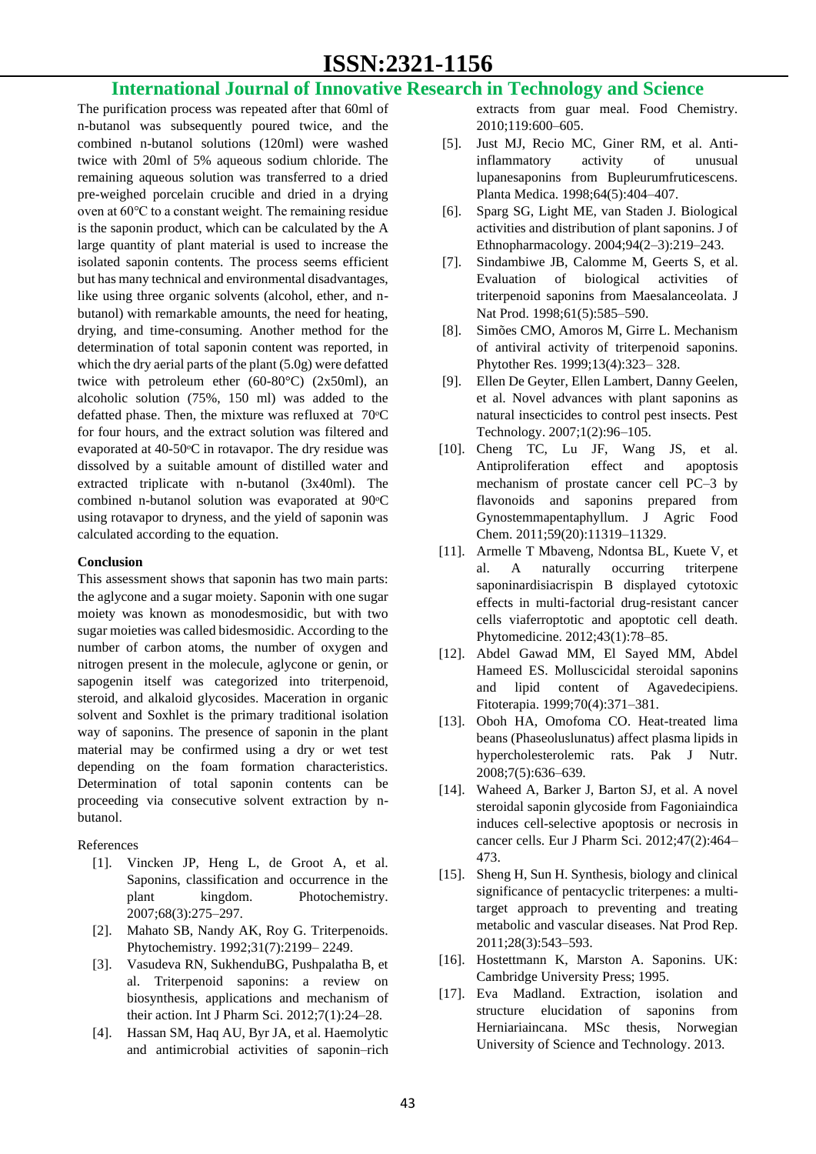## **ISSN:2321-1156**

### **International Journal of Innovative Research in Technology and Science**

The purification process was repeated after that 60ml of n-butanol was subsequently poured twice, and the combined n-butanol solutions (120ml) were washed twice with 20ml of 5% aqueous sodium chloride. The remaining aqueous solution was transferred to a dried pre-weighed porcelain crucible and dried in a drying oven at 60℃ to a constant weight. The remaining residue is the saponin product, which can be calculated by the A large quantity of plant material is used to increase the isolated saponin contents. The process seems efficient but has many technical and environmental disadvantages, like using three organic solvents (alcohol, ether, and nbutanol) with remarkable amounts, the need for heating, drying, and time-consuming. Another method for the determination of total saponin content was reported, in which the dry aerial parts of the plant (5.0g) were defatted twice with petroleum ether  $(60-80^{\circ}C)$   $(2x50ml)$ , an alcoholic solution (75%, 150 ml) was added to the defatted phase. Then, the mixture was refluxed at  $70^{\circ}$ C for four hours, and the extract solution was filtered and evaporated at 40-50 °C in rotavapor. The dry residue was dissolved by a suitable amount of distilled water and extracted triplicate with n-butanol (3x40ml). The combined n-butanol solution was evaporated at 90 °C using rotavapor to dryness, and the yield of saponin was calculated according to the equation.

#### **Conclusion**

This assessment shows that saponin has two main parts: the aglycone and a sugar moiety. Saponin with one sugar moiety was known as monodesmosidic, but with two sugar moieties was called bidesmosidic. According to the number of carbon atoms, the number of oxygen and nitrogen present in the molecule, aglycone or genin, or sapogenin itself was categorized into triterpenoid, steroid, and alkaloid glycosides. Maceration in organic solvent and Soxhlet is the primary traditional isolation way of saponins. The presence of saponin in the plant material may be confirmed using a dry or wet test depending on the foam formation characteristics. Determination of total saponin contents can be proceeding via consecutive solvent extraction by nbutanol.

References

- [1]. Vincken JP, Heng L, de Groot A, et al. Saponins, classification and occurrence in the plant kingdom. Photochemistry. 2007;68(3):275–297.
- [2]. Mahato SB, Nandy AK, Roy G. Triterpenoids. Phytochemistry. 1992;31(7):2199– 2249.
- [3]. Vasudeva RN, SukhenduBG, Pushpalatha B, et al. Triterpenoid saponins: a review on biosynthesis, applications and mechanism of their action. Int J Pharm Sci. 2012;7(1):24–28.
- [4]. Hassan SM, Haq AU, Byr JA, et al. Haemolytic and antimicrobial activities of saponin–rich

extracts from guar meal. Food Chemistry. 2010;119:600–605.

- [5]. Just MJ, Recio MC, Giner RM, et al. Antiinflammatory activity of unusual lupanesaponins from Bupleurumfruticescens. Planta Medica. 1998;64(5):404–407.
- [6]. Sparg SG, Light ME, van Staden J. Biological activities and distribution of plant saponins. J of Ethnopharmacology. 2004;94(2–3):219–243.
- [7]. Sindambiwe JB, Calomme M, Geerts S, et al. Evaluation of biological activities of triterpenoid saponins from Maesalanceolata. J Nat Prod. 1998;61(5):585-590.
- [8]. Simões CMO, Amoros M, Girre L. Mechanism of antiviral activity of triterpenoid saponins. Phytother Res. 1999;13(4):323– 328.
- [9]. Ellen De Geyter, Ellen Lambert, Danny Geelen, et al. Novel advances with plant saponins as natural insecticides to control pest insects. Pest Technology. 2007;1(2):96–105.
- [10]. Cheng TC, Lu JF, Wang JS, et al. Antiproliferation effect and apoptosis mechanism of prostate cancer cell PC–3 by flavonoids and saponins prepared from Gynostemmapentaphyllum. J Agric Food Chem. 2011;59(20):11319–11329.
- [11]. Armelle T Mbaveng, Ndontsa BL, Kuete V, et A naturally occurring triterpene saponinardisiacrispin B displayed cytotoxic effects in multi-factorial drug-resistant cancer cells viaferroptotic and apoptotic cell death. Phytomedicine. 2012;43(1):78–85.
- [12]. Abdel Gawad MM, El Sayed MM, Abdel Hameed ES. Molluscicidal steroidal saponins and lipid content of Agavedecipiens. Fitoterapia. 1999;70(4):371–381.
- [13]. Oboh HA, Omofoma CO. Heat-treated lima beans (Phaseoluslunatus) affect plasma lipids in hypercholesterolemic rats. Pak J Nutr. 2008;7(5):636–639.
- [14]. Waheed A, Barker J, Barton SJ, et al. A novel steroidal saponin glycoside from Fagoniaindica induces cell-selective apoptosis or necrosis in cancer cells. Eur J Pharm Sci. 2012;47(2):464– 473.
- [15]. Sheng H, Sun H. Synthesis, biology and clinical significance of pentacyclic triterpenes: a multitarget approach to preventing and treating metabolic and vascular diseases. Nat Prod Rep. 2011;28(3):543–593.
- [16]. Hostettmann K, Marston A. Saponins. UK: Cambridge University Press; 1995.
- [17]. Eva Madland. Extraction, isolation and structure elucidation of saponins from Herniariaincana. MSc thesis, Norwegian University of Science and Technology. 2013.